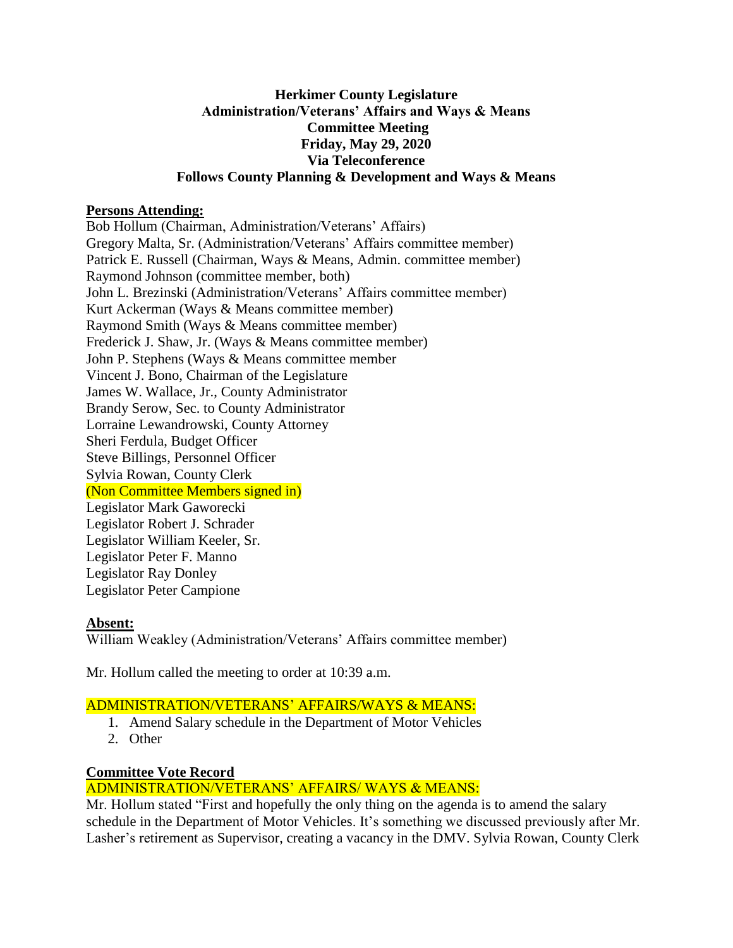## **Herkimer County Legislature Administration/Veterans' Affairs and Ways & Means Committee Meeting Friday, May 29, 2020 Via Teleconference Follows County Planning & Development and Ways & Means**

## **Persons Attending:**

Bob Hollum (Chairman, Administration/Veterans' Affairs) Gregory Malta, Sr. (Administration/Veterans' Affairs committee member) Patrick E. Russell (Chairman, Ways & Means, Admin. committee member) Raymond Johnson (committee member, both) John L. Brezinski (Administration/Veterans' Affairs committee member) Kurt Ackerman (Ways & Means committee member) Raymond Smith (Ways & Means committee member) Frederick J. Shaw, Jr. (Ways & Means committee member) John P. Stephens (Ways & Means committee member Vincent J. Bono, Chairman of the Legislature James W. Wallace, Jr., County Administrator Brandy Serow, Sec. to County Administrator Lorraine Lewandrowski, County Attorney Sheri Ferdula, Budget Officer Steve Billings, Personnel Officer Sylvia Rowan, County Clerk (Non Committee Members signed in) Legislator Mark Gaworecki Legislator Robert J. Schrader Legislator William Keeler, Sr. Legislator Peter F. Manno Legislator Ray Donley Legislator Peter Campione

#### **Absent:**

William Weakley (Administration/Veterans' Affairs committee member)

Mr. Hollum called the meeting to order at 10:39 a.m.

# ADMINISTRATION/VETERANS' AFFAIRS/WAYS & MEANS:

- 1. Amend Salary schedule in the Department of Motor Vehicles
- 2. Other

# **Committee Vote Record**

# ADMINISTRATION/VETERANS' AFFAIRS/ WAYS & MEANS:

Mr. Hollum stated "First and hopefully the only thing on the agenda is to amend the salary schedule in the Department of Motor Vehicles. It's something we discussed previously after Mr. Lasher's retirement as Supervisor, creating a vacancy in the DMV. Sylvia Rowan, County Clerk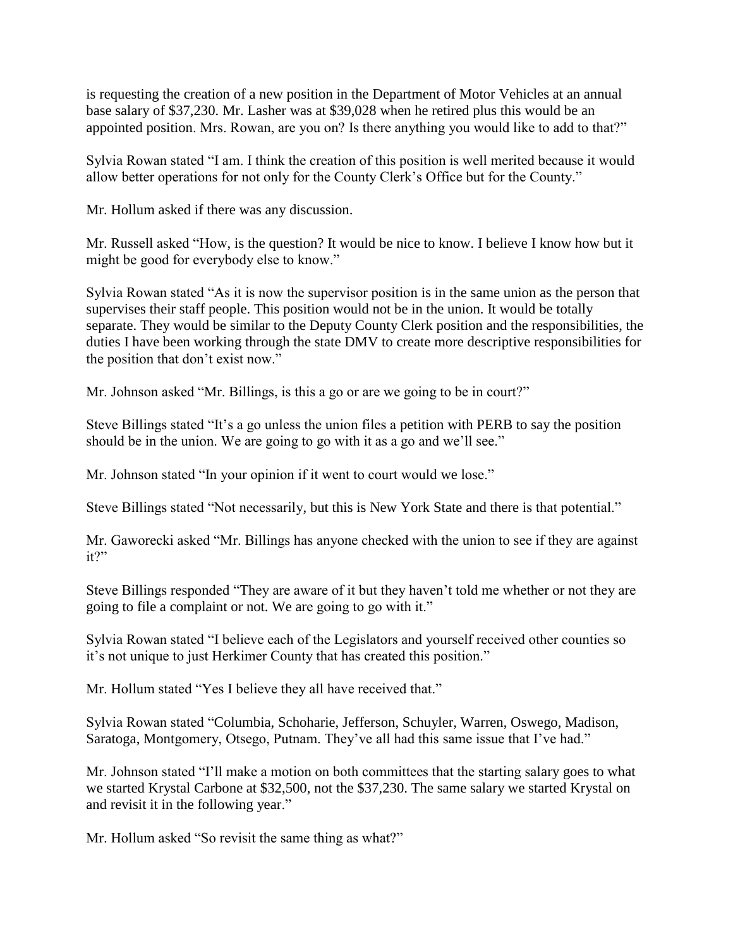is requesting the creation of a new position in the Department of Motor Vehicles at an annual base salary of \$37,230. Mr. Lasher was at \$39,028 when he retired plus this would be an appointed position. Mrs. Rowan, are you on? Is there anything you would like to add to that?"

Sylvia Rowan stated "I am. I think the creation of this position is well merited because it would allow better operations for not only for the County Clerk's Office but for the County."

Mr. Hollum asked if there was any discussion.

Mr. Russell asked "How, is the question? It would be nice to know. I believe I know how but it might be good for everybody else to know."

Sylvia Rowan stated "As it is now the supervisor position is in the same union as the person that supervises their staff people. This position would not be in the union. It would be totally separate. They would be similar to the Deputy County Clerk position and the responsibilities, the duties I have been working through the state DMV to create more descriptive responsibilities for the position that don't exist now."

Mr. Johnson asked "Mr. Billings, is this a go or are we going to be in court?"

Steve Billings stated "It's a go unless the union files a petition with PERB to say the position should be in the union. We are going to go with it as a go and we'll see."

Mr. Johnson stated "In your opinion if it went to court would we lose."

Steve Billings stated "Not necessarily, but this is New York State and there is that potential."

Mr. Gaworecki asked "Mr. Billings has anyone checked with the union to see if they are against it?"

Steve Billings responded "They are aware of it but they haven't told me whether or not they are going to file a complaint or not. We are going to go with it."

Sylvia Rowan stated "I believe each of the Legislators and yourself received other counties so it's not unique to just Herkimer County that has created this position."

Mr. Hollum stated "Yes I believe they all have received that."

Sylvia Rowan stated "Columbia, Schoharie, Jefferson, Schuyler, Warren, Oswego, Madison, Saratoga, Montgomery, Otsego, Putnam. They've all had this same issue that I've had."

Mr. Johnson stated "I'll make a motion on both committees that the starting salary goes to what we started Krystal Carbone at \$32,500, not the \$37,230. The same salary we started Krystal on and revisit it in the following year."

Mr. Hollum asked "So revisit the same thing as what?"